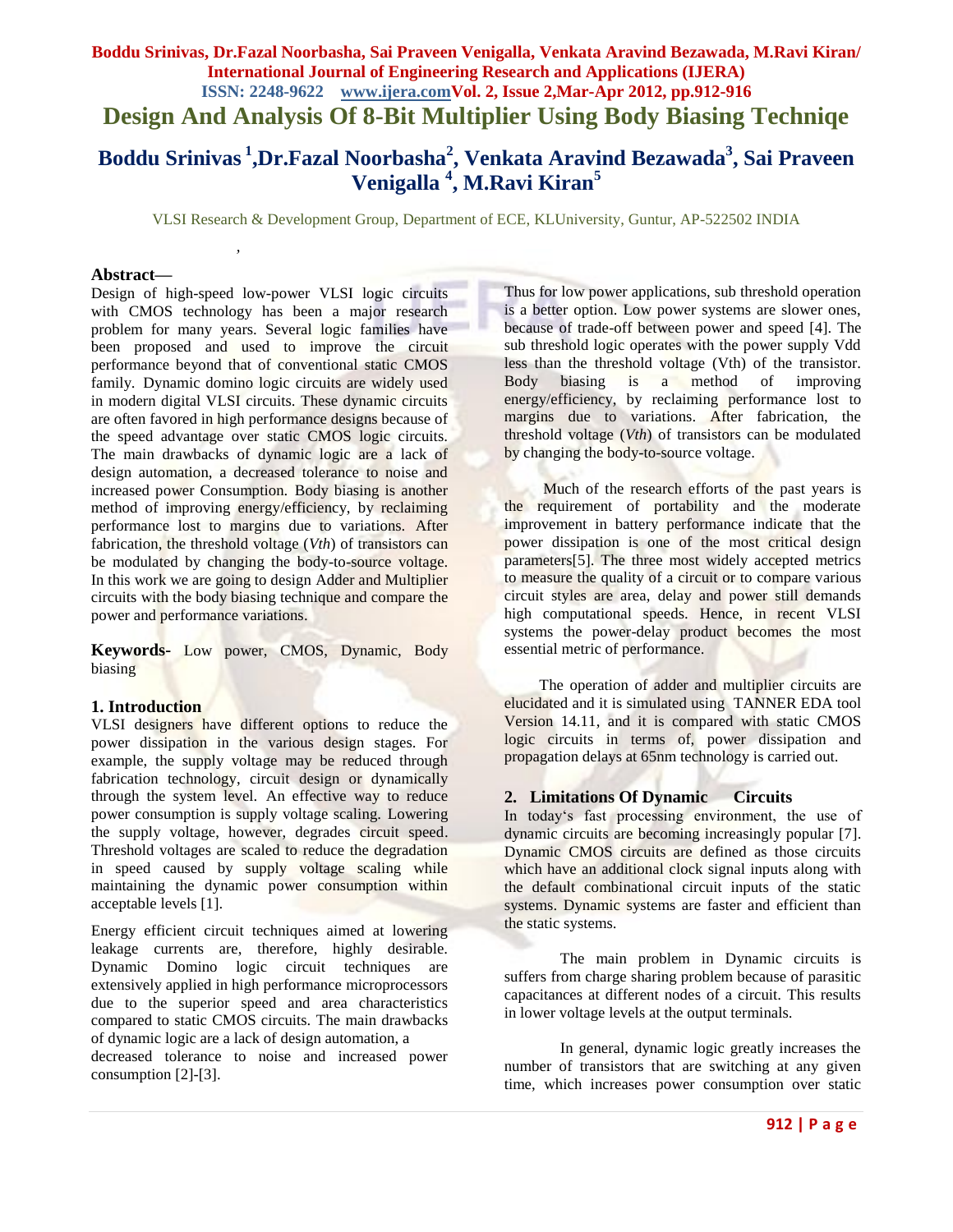## **Boddu Srinivas, Dr.Fazal Noorbasha, Sai Praveen Venigalla, Venkata Aravind Bezawada, M.Ravi Kiran/ International Journal of Engineering Research and Applications (IJERA) ISSN: 2248-9622 www.ijera.comVol. 2, Issue 2,Mar-Apr 2012, pp.912-916 Design And Analysis Of 8-Bit Multiplier Using Body Biasing Techniqe**

# **Boddu Srinivas <sup>1</sup> ,Dr.Fazal Noorbasha<sup>2</sup> , Venkata Aravind Bezawada<sup>3</sup> , Sai Praveen Venigalla <sup>4</sup> , M.Ravi Kiran<sup>5</sup>**

VLSI Research & Development Group, Department of ECE, KLUniversity, Guntur, AP-522502 INDIA

#### **Abstract—**

Design of high-speed low-power VLSI logic circuits with CMOS technology has been a major research problem for many years. Several logic families have been proposed and used to improve the circuit performance beyond that of conventional static CMOS family. Dynamic domino logic circuits are widely used in modern digital VLSI circuits. These dynamic circuits are often favored in high performance designs because of the speed advantage over static CMOS logic circuits. The main drawbacks of dynamic logic are a lack of design automation, a decreased tolerance to noise and increased power Consumption. Body biasing is another method of improving energy/efficiency, by reclaiming performance lost to margins due to variations. After fabrication, the threshold voltage (*Vth*) of transistors can be modulated by changing the body-to-source voltage. In this work we are going to design Adder and Multiplier circuits with the body biasing technique and compare the power and performance variations.

 *,*

**Keywords-** Low power, CMOS, Dynamic, Body biasing

#### **1. Introduction**

VLSI designers have different options to reduce the power dissipation in the various design stages. For example, the supply voltage may be reduced through fabrication technology, circuit design or dynamically through the system level. An effective way to reduce power consumption is supply voltage scaling. Lowering the supply voltage, however, degrades circuit speed. Threshold voltages are scaled to reduce the degradation in speed caused by supply voltage scaling while maintaining the dynamic power consumption within acceptable levels [1].

Energy efficient circuit techniques aimed at lowering leakage currents are, therefore, highly desirable. Dynamic Domino logic circuit techniques are extensively applied in high performance microprocessors due to the superior speed and area characteristics compared to static CMOS circuits. The main drawbacks of dynamic logic are a lack of design automation, a decreased tolerance to noise and increased power consumption [2]-[3].

Thus for low power applications, sub threshold operation is a better option. Low power systems are slower ones, because of trade-off between power and speed [4]. The sub threshold logic operates with the power supply Vdd less than the threshold voltage (Vth) of the transistor. Body biasing is a method of improving energy/efficiency, by reclaiming performance lost to margins due to variations. After fabrication, the threshold voltage (*Vth*) of transistors can be modulated by changing the body-to-source voltage.

Much of the research efforts of the past years is the requirement of portability and the moderate improvement in battery performance indicate that the power dissipation is one of the most critical design parameters[5]. The three most widely accepted metrics to measure the quality of a circuit or to compare various circuit styles are area, delay and power still demands high computational speeds. Hence, in recent VLSI systems the power-delay product becomes the most essential metric of performance.

The operation of adder and multiplier circuits are elucidated and it is simulated using TANNER EDA tool Version 14.11, and it is compared with static CMOS logic circuits in terms of, power dissipation and propagation delays at 65nm technology is carried out.

#### **2. Limitations Of Dynamic Circuits**

In today"s fast processing environment, the use of dynamic circuits are becoming increasingly popular [7]. Dynamic CMOS circuits are defined as those circuits which have an additional clock signal inputs along with the default combinational circuit inputs of the static systems. Dynamic systems are faster and efficient than the static systems.

The main problem in Dynamic circuits is suffers from charge sharing problem because of parasitic capacitances at different nodes of a circuit. This results in lower voltage levels at the output terminals.

In general, dynamic logic greatly increases the number of transistors that are switching at any given time, which increases power consumption over static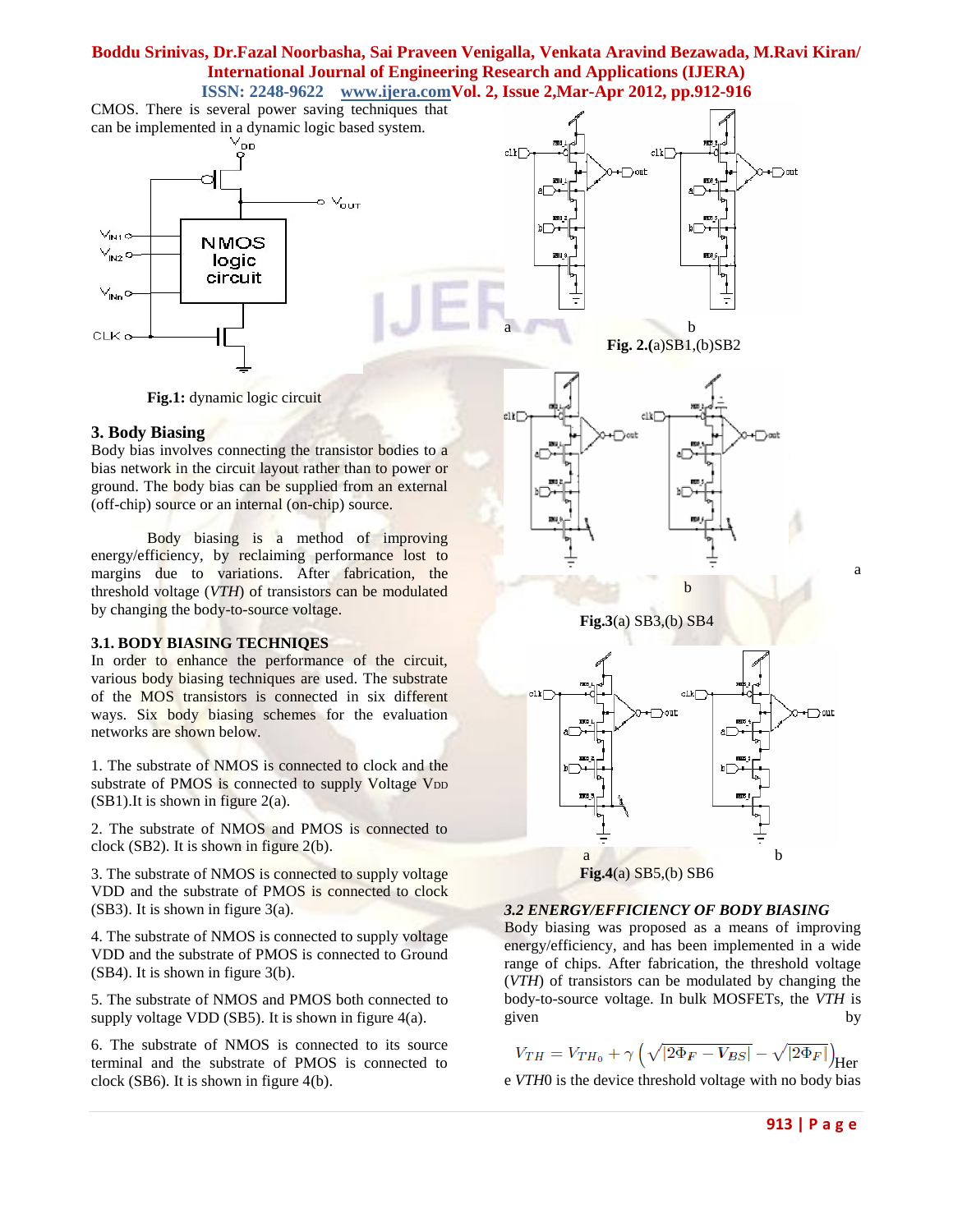CMOS. There is several power saving techniques that can be implemented in a dynamic logic based system.







**Fig.1:** dynamic logic circuit

## **3. Body Biasing**

Body bias involves connecting the transistor bodies to a bias network in the circuit layout rather than to power or ground. The body bias can be supplied from an external (off-chip) source or an internal (on-chip) source.

Body biasing is a method of improving energy/efficiency, by reclaiming performance lost to margins due to variations. After fabrication, the threshold voltage (*VTH*) of transistors can be modulated by changing the body-to-source voltage.

## **3.1. BODY BIASING TECHNIQES**

In order to enhance the performance of the circuit, various body biasing techniques are used. The substrate of the MOS transistors is connected in six different ways. Six body biasing schemes for the evaluation networks are shown below.

1. The substrate of NMOS is connected to clock and the substrate of PMOS is connected to supply Voltage V<sub>DD</sub>  $(SB1)$ . It is shown in figure 2(a).

2. The substrate of NMOS and PMOS is connected to clock (SB2). It is shown in figure 2(b).

3. The substrate of NMOS is connected to supply voltage VDD and the substrate of PMOS is connected to clock (SB3). It is shown in figure 3(a).

4. The substrate of NMOS is connected to supply voltage VDD and the substrate of PMOS is connected to Ground (SB4). It is shown in figure 3(b).

5. The substrate of NMOS and PMOS both connected to supply voltage VDD (SB5). It is shown in figure 4(a).

6. The substrate of NMOS is connected to its source terminal and the substrate of PMOS is connected to clock (SB6). It is shown in figure 4(b).







## **Fig.4**(a) SB5,(b) SB6

## *3.2 ENERGY/EFFICIENCY OF BODY BIASING*

Body biasing was proposed as a means of improving energy/efficiency, and has been implemented in a wide range of chips. After fabrication, the threshold voltage (*VTH*) of transistors can be modulated by changing the body-to-source voltage. In bulk MOSFETs, the *VTH* is given by the set of the set of the set of the set of the set of the set of the set of the set of the set of the

 $V_{TH} = V_{TH_0} + \gamma \left( \sqrt{|2\Phi_F - V_{BS}|} - \sqrt{|2\Phi_F|} \right)_{\text{Her}}$ 

e *VTH*0 is the device threshold voltage with no body bias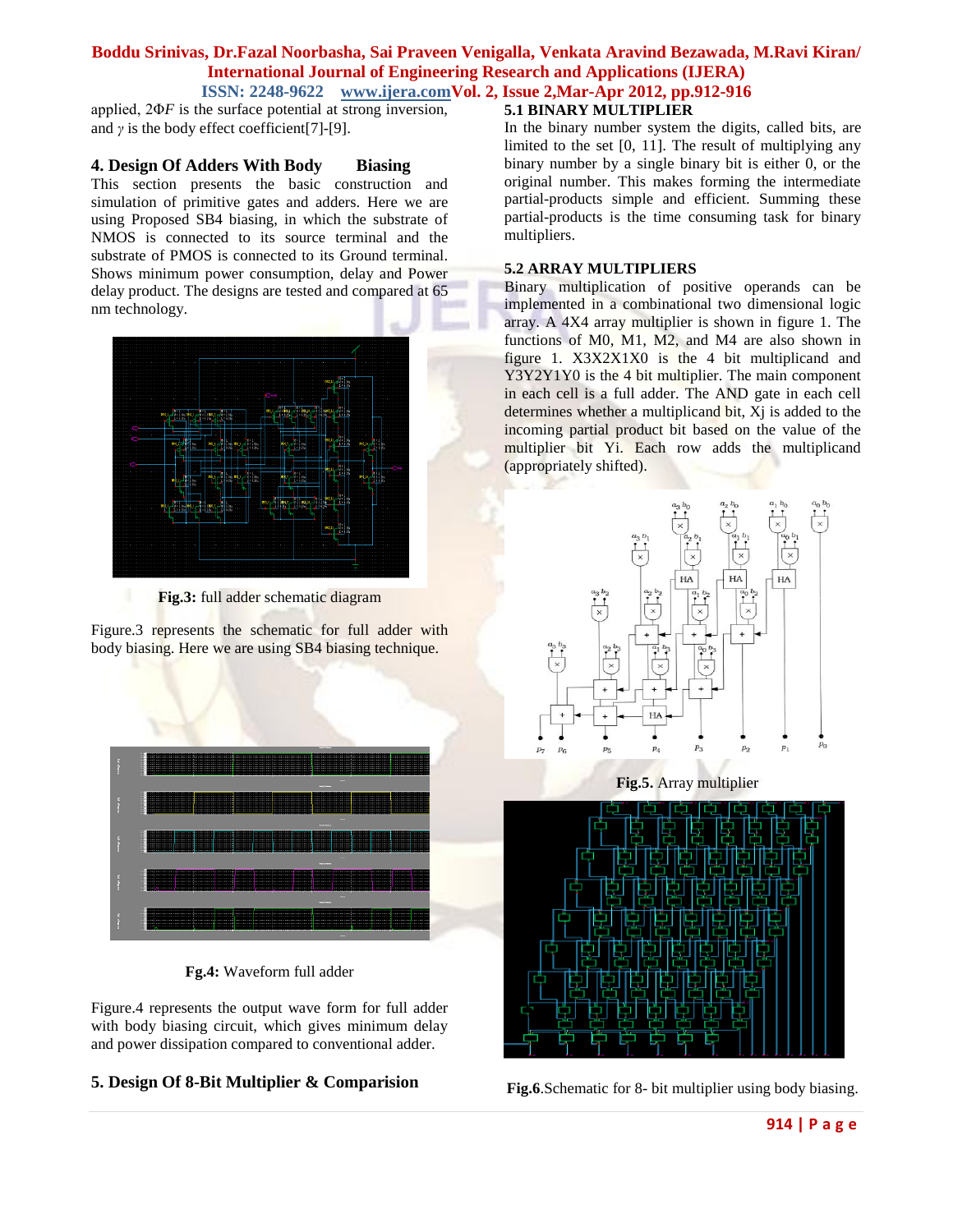applied, 2Φ*F* is the surface potential at strong inversion, and  $\gamma$  is the body effect coefficient[7]-[9].

#### **4. Design Of Adders With Body Biasing**

This section presents the basic construction and simulation of primitive gates and adders. Here we are using Proposed SB4 biasing, in which the substrate of NMOS is connected to its source terminal and the substrate of PMOS is connected to its Ground terminal. Shows minimum power consumption, delay and Power delay product. The designs are tested and compared at 65 nm technology.



**Fig.3:** full adder schematic diagram

Figure.3 represents the schematic for full adder with body biasing. Here we are using SB4 biasing technique.



**Fg.4:** Waveform full adder

Figure.4 represents the output wave form for full adder with body biasing circuit, which gives minimum delay and power dissipation compared to conventional adder.

## **5. Design Of 8-Bit Multiplier & Comparision**

## **5.1 BINARY MULTIPLIER**

In the binary number system the digits, called bits, are limited to the set [0, 11]. The result of multiplying any binary number by a single binary bit is either 0, or the original number. This makes forming the intermediate partial-products simple and efficient. Summing these partial-products is the time consuming task for binary multipliers.

#### **5.2 ARRAY MULTIPLIERS**

Binary multiplication of positive operands can be implemented in a combinational two dimensional logic array. A 4X4 array multiplier is shown in figure 1. The functions of M0, M1, M2, and M4 are also shown in figure 1. X3X2X1X0 is the 4 bit multiplicand and Y3Y2Y1Y0 is the 4 bit multiplier. The main component in each cell is a full adder. The AND gate in each cell determines whether a multiplicand bit, Xj is added to the incoming partial product bit based on the value of the multiplier bit Yi. Each row adds the multiplicand (appropriately shifted).



**Fig.5.** Array multiplier



**Fig.6**.Schematic for 8- bit multiplier using body biasing.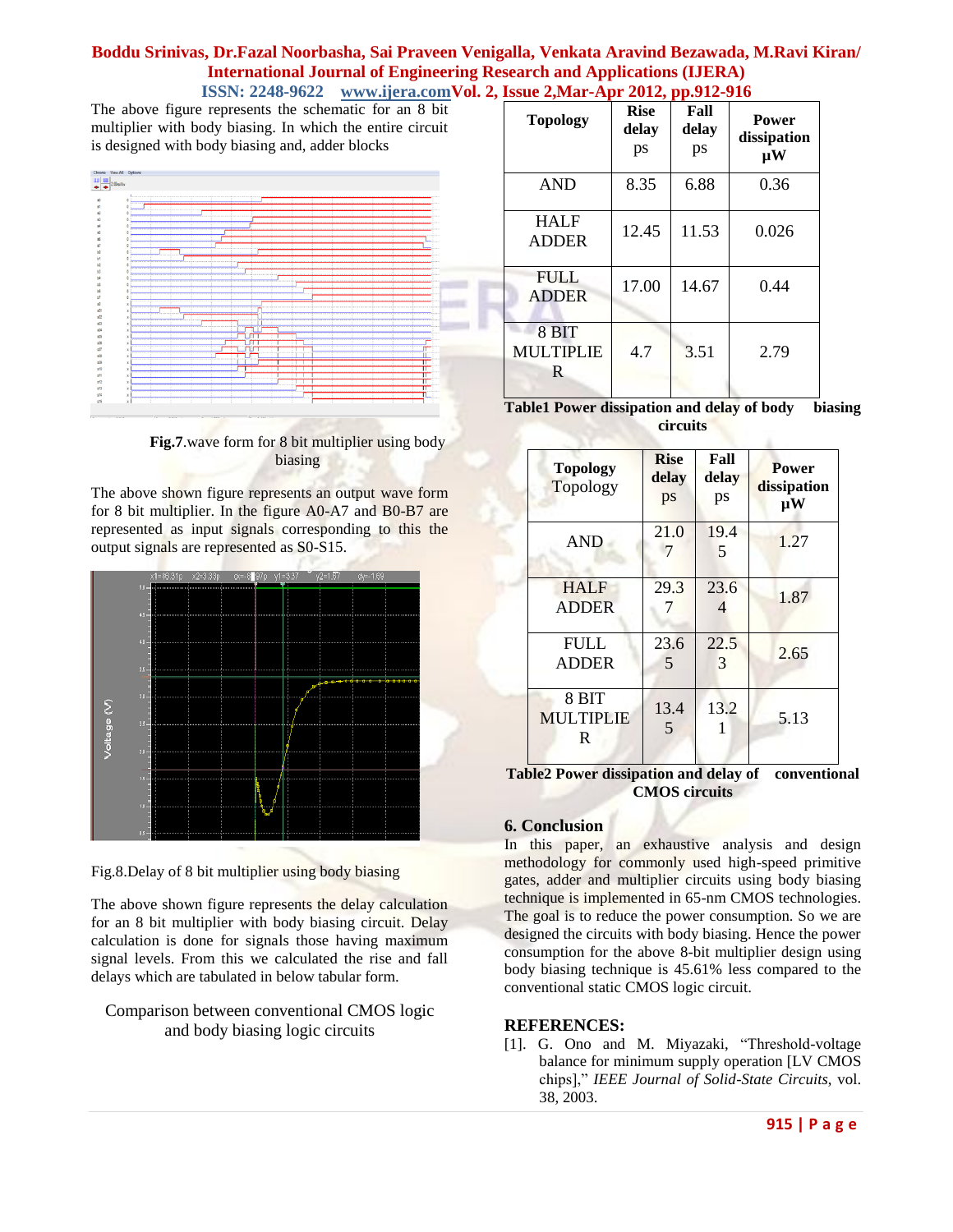The above figure represents the schematic for an 8 bit multiplier with body biasing. In which the entire circuit is designed with body biasing and, adder blocks



**Fig.7**.wave form for 8 bit multiplier using body biasing

The above shown figure represents an output wave form for 8 bit multiplier. In the figure A0-A7 and B0-B7 are represented as input signals corresponding to this the output signals are represented as S0-S15.



Fig.8.Delay of 8 bit multiplier using body biasing

The above shown figure represents the delay calculation for an 8 bit multiplier with body biasing circuit. Delay calculation is done for signals those having maximum signal levels. From this we calculated the rise and fall delays which are tabulated in below tabular form.

Comparison between conventional CMOS logic and body biasing logic circuits

| <b>Topology</b>                | <b>Rise</b><br>delay<br>ps | Fall<br>delay<br>ps | <b>Power</b><br>dissipation<br>$\mathbf{u}$ W |
|--------------------------------|----------------------------|---------------------|-----------------------------------------------|
| <b>AND</b>                     | 8.35                       | 6.88                | 0.36                                          |
| <b>HALF</b><br><b>ADDER</b>    | 12.45                      | 11.53               | 0.026                                         |
| <b>FULL</b><br><b>ADDER</b>    | 17.00                      | 14.67               | 0.44                                          |
| 8 BIT<br><b>MULTIPLIE</b><br>R | 4.7                        | 3.51                | 2.79                                          |

**Table1 Power dissipation and delay of body biasing circuits**

| <b>Topology</b><br>Topology     | <b>Rise</b><br>delay<br>ps | Fall<br>delay<br>ps   | <b>Power</b><br>dissipation<br>$\mu$ W |
|---------------------------------|----------------------------|-----------------------|----------------------------------------|
| <b>AND</b>                      | 21.0                       | 19.4<br>5             | 1.27                                   |
| <b>HALF</b><br><b>ADDER</b>     | 29.3                       | 23.6                  | 1.87                                   |
| <b>FULL</b><br><b>ADDER</b>     | 23.6<br>$\overline{5}$     | 22.5<br>$\mathcal{R}$ | 2.65                                   |
| 8 BIT<br><b>MULTIPLIE</b><br>R. | 13.4<br>5                  | 13.2                  | 5.13                                   |

**Table2 Power dissipation and delay of conventional CMOS circuits**

## **6. Conclusion**

In this paper, an exhaustive analysis and design methodology for commonly used high-speed primitive gates, adder and multiplier circuits using body biasing technique is implemented in 65-nm CMOS technologies. The goal is to reduce the power consumption. So we are designed the circuits with body biasing. Hence the power consumption for the above 8-bit multiplier design using body biasing technique is 45.61% less compared to the conventional static CMOS logic circuit.

## **REFERENCES:**

[1]. G. Ono and M. Miyazaki, "Threshold-voltage balance for minimum supply operation [LV CMOS chips]," *IEEE Journal of Solid-State Circuits*, vol. 38, 2003.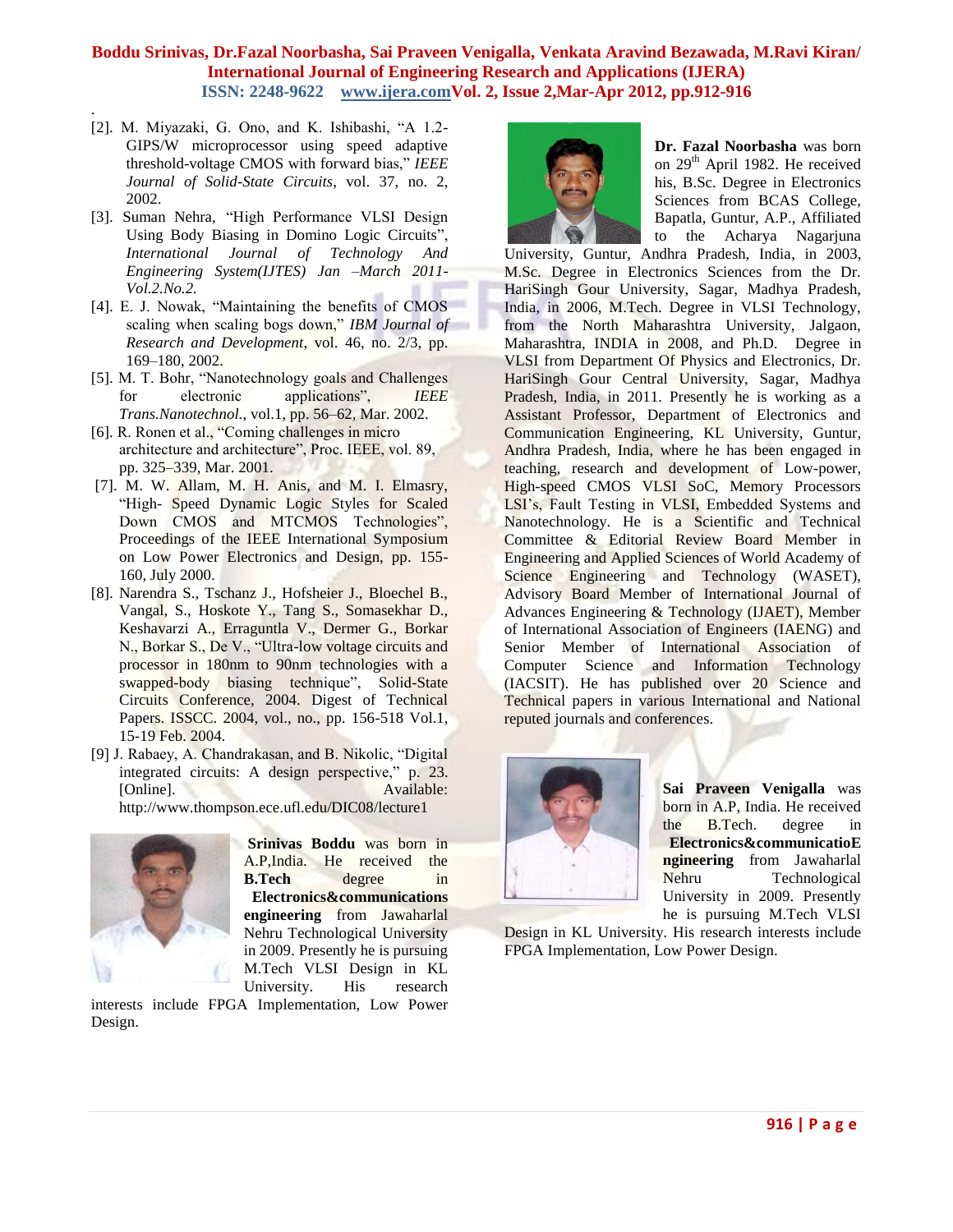[2]. M. Miyazaki, G. Ono, and K. Ishibashi, "A 1.2- GIPS/W microprocessor using speed adaptive threshold-voltage CMOS with forward bias," *IEEE Journal of Solid-State Circuits*, vol. 37, no. 2, 2002.

.

- [3]. Suman Nehra, "High Performance VLSI Design Using Body Biasing in Domino Logic Circuits", *International Journal of Technology And Engineering System(IJTES) Jan –March 2011- Vol.2.No.2.*
- [4]. E. J. Nowak, "Maintaining the benefits of CMOS scaling when scaling bogs down," *IBM Journal of Research and Development*, vol. 46, no. 2/3, pp. 169–180, 2002.
- [5]. M. T. Bohr, "Nanotechnology goals and Challenges for electronic applications", *IEEE Trans.Nanotechnol.*, vol.1, pp. 56–62, Mar. 2002.
- [6]. R. Ronen et al., "Coming challenges in micro architecture and architecture", Proc. IEEE, vol. 89, pp. 325–339, Mar. 2001.
- [7]. M. W. Allam, M. H. Anis, and M. I. Elmasry, "High- Speed Dynamic Logic Styles for Scaled Down CMOS and MTCMOS Technologies", Proceedings of the IEEE International Symposium on Low Power Electronics and Design, pp. 155- 160, July 2000.
- [8]. Narendra S., Tschanz J., Hofsheier J., Bloechel B., Vangal, S., Hoskote Y., Tang S., Somasekhar D., Keshavarzi A., Erraguntla V., Dermer G., Borkar N., Borkar S., De V., "Ultra-low voltage circuits and processor in 180nm to 90nm technologies with a swapped-body biasing technique", Solid-State Circuits Conference, 2004. Digest of Technical Papers. ISSCC. 2004, vol., no., pp. 156-518 Vol.1, 15-19 Feb. 2004.
- [9] J. Rabaey, A. Chandrakasan, and B. Nikolic, "Digital integrated circuits: A design perspective," p. 23. [Online]. Available: http://www.thompson.ece.ufl.edu/DIC08/lecture1



**Srinivas Boddu** was born in A.P,India. He received the **B.Tech** degree in **Electronics&communications engineering** from Jawaharlal Nehru Technological University in 2009. Presently he is pursuing M.Tech VLSI Design in KL University. His research

interests include FPGA Implementation, Low Power Design.



**Dr. Fazal Noorbasha** was born on  $29<sup>th</sup>$  April 1982. He received his, B.Sc. Degree in Electronics Sciences from BCAS College, Bapatla, Guntur, A.P., Affiliated to the Acharya Nagarjuna

University, Guntur, Andhra Pradesh, India, in 2003, M.Sc. Degree in Electronics Sciences from the Dr. HariSingh Gour University, Sagar, Madhya Pradesh, India, in 2006, M.Tech. Degree in VLSI Technology, from the North Maharashtra University, Jalgaon, Maharashtra, INDIA in 2008, and Ph.D. Degree in VLSI from Department Of Physics and Electronics, Dr. HariSingh Gour Central University, Sagar, Madhya Pradesh, India, in 2011. Presently he is working as a Assistant Professor, Department of Electronics and Communication Engineering, KL University, Guntur, Andhra Pradesh, India, where he has been engaged in teaching, research and development of Low-power, High-speed CMOS VLSI SoC, Memory Processors LSI"s, Fault Testing in VLSI, Embedded Systems and Nanotechnology. He is a Scientific and Technical Committee & Editorial Review Board Member in Engineering and Applied Sciences of World Academy of Science Engineering and Technology (WASET), Advisory Board Member of International Journal of Advances Engineering & Technology (IJAET), Member of International Association of Engineers (IAENG) and Senior Member of International Association of Computer Science and Information Technology (IACSIT). He has published over 20 Science and Technical papers in various International and National reputed journals and conferences.



**Sai Praveen Venigalla** was born in A.P, India. He received the B.Tech. degree in **Electronics&communicatioE ngineering** from Jawaharlal Nehru Technological University in 2009. Presently he is pursuing M.Tech VLSI

Design in KL University. His research interests include FPGA Implementation, Low Power Design.